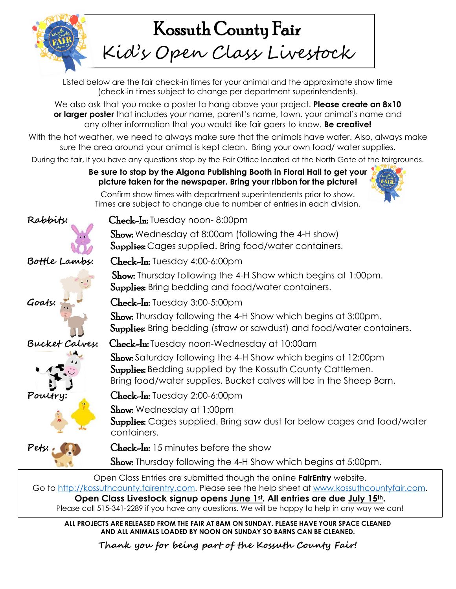

## Kossuth County Fair Kid's Open Class Livestock

Listed below are the fair check-in times for your animal and the approximate show time (check-in times subject to change per department superintendents).

We also ask that you make a poster to hang above your project. **Please create an 8x10 or larger poster** that includes your name, parent's name, town, your animal's name and any other information that you would like fair goers to know. **Be creative!**

With the hot weather, we need to always make sure that the animals have water. Also, always make sure the area around your animal is kept clean. Bring your own food/ water supplies.

During the fair, if you have any questions stop by the Fair Office located at the North Gate of the fairgrounds.

**Be sure to stop by the Algona Publishing Booth in Floral Hall to get your picture taken for the newspaper. Bring your ribbon for the picture!** 



Confirm show times with department superintendents prior to show. Times are subject to change due to number of entries in each division.













**Rabbits:** Check-In: Tuesday noon- 8:00pm

**Show:** Wednesday at 8:00am (following the 4-H show) **Supplies:** Cages supplied. Bring food/water containers.

**Bottle Lambs**: Check-In: Tuesday 4:00-6:00pm

Show: Thursday following the 4-H Show which begins at 1:00pm. Supplies: Bring bedding and food/water containers.

**Goats:** Check-In: Tuesday 3:00-5:00pm

Show: Thursday following the 4-H Show which begins at 3:00pm. Supplies: Bring bedding (straw or sawdust) and food/water containers.

**Bucket Calvey:** Check-In: Tuesday noon-Wednesday at 10:00am

Show: Saturday following the 4-H Show which begins at 12:00pm **Supplies:** Bedding supplied by the Kossuth County Cattlemen. Bring food/water supplies. Bucket calves will be in the Sheep Barn.

**Poultry:** Check-In: Tuesday 2:00-6:00pm

Show: Wednesday at 1:00pm

Supplies: Cages supplied. Bring saw dust for below cages and food/water containers.

Pets: Check-In: 15 minutes before the show

**Show:** Thursday following the 4-H Show which begins at 5:00pm.

Open Class Entries are submitted though the online **FairEntry** website. Go to [http://kossuthcounty.fairentry.com.](http://kossuthcounty.fairentry.com/) Please see the help sheet at [www.kossuthcountyfair.com.](http://www.kossuthcountyfair.com/) **Open Class Livestock signup opens June 1st . All entries are due July 15th.**  Please call 515-341-2289 if you have any questions. We will be happy to help in any way we can!

**ALL PROJECTS ARE RELEASED FROM THE FAIR AT 8AM ON SUNDAY. PLEASE HAVE YOUR SPACE CLEANED AND ALL ANIMALS LOADED BY NOON ON SUNDAY SO BARNS CAN BE CLEANED.**

**Thank you for being part of the Kossuth County Fair!**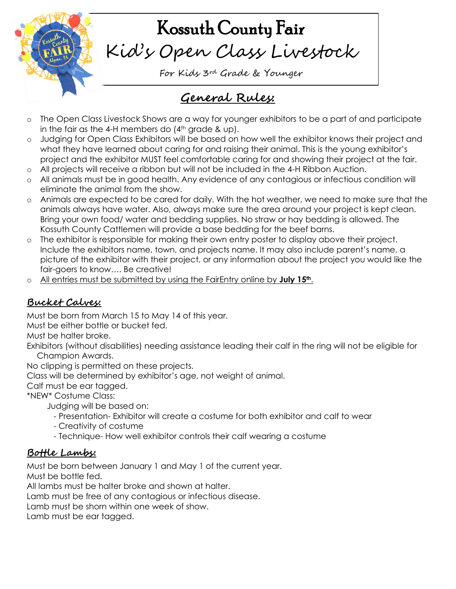

# Kossuth County Fair Kid's Open Class Livestock

For Kids 3rd Grade & Younger

## **General Rules:**

- o The Open Class Livestock Shows are a way for younger exhibitors to be a part of and participate in the fair as the 4-H members do  $(4<sup>th</sup>$  grade & up).
- o Judging for Open Class Exhibitors will be based on how well the exhibitor knows their project and what they have learned about caring for and raising their animal. This is the young exhibitor's project and the exhibitor MUST feel comfortable caring for and showing their project at the fair.
- o All projects will receive a ribbon but will not be included in the 4-H Ribbon Auction.
- All animals must be in good health. Any evidence of any contagious or infectious condition will eliminate the animal from the show.
- o Animals are expected to be cared for daily. With the hot weather, we need to make sure that the animals always have water. Also, always make sure the area around your project is kept clean. Bring your own food/ water and bedding supplies. No straw or hay bedding is allowed. The Kossuth County Cattlemen will provide a base bedding for the beef barns.
- o The exhibitor is responsible for making their own entry poster to display above their project. Include the exhibitors name, town, and projects name. It may also include parent's name, a picture of the exhibitor with their project, or any information about the project you would like the fair-goers to know…. Be creative!
- All entries must be submitted by using the FairEntry online by **July 15<sup>th</sup>**.

#### **Bucket Calves:**

Must be born from March 15 to May 14 of this year.

Must be either bottle or bucket fed.

Must be halter broke.

Exhibitors (without disabilities) needing assistance leading their calf in the ring will not be eligible for Champion Awards.

No clipping is permitted on these projects.

Class will be determined by exhibitor's age, not weight of animal.

Calf must be ear tagged.

\*NEW\* Costume Class:

Judging will be based on:

- Presentation- Exhibitor will create a costume for both exhibitor and calf to wear
- Creativity of costume
- Technique- How well exhibitor controls their calf wearing a costume

#### **Bottle Lambs:**

Must be born between January 1 and May 1 of the current year.

Must be bottle fed.

All lambs must be halter broke and shown at halter.

Lamb must be free of any contagious or infectious disease.

Lamb must be shorn within one week of show.

Lamb must be ear tagged.